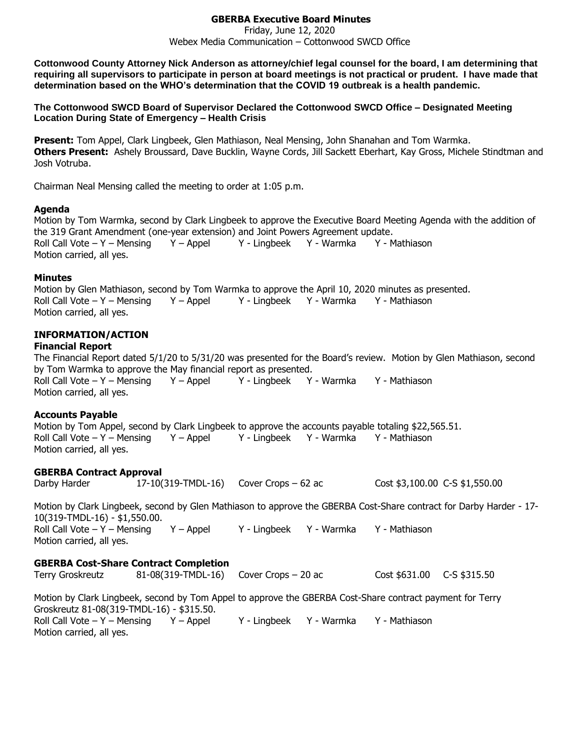### **GBERBA Executive Board Minutes**

Friday, June 12, 2020 Webex Media Communication – Cottonwood SWCD Office

**Cottonwood County Attorney Nick Anderson as attorney/chief legal counsel for the board, I am determining that requiring all supervisors to participate in person at board meetings is not practical or prudent. I have made that determination based on the WHO's determination that the COVID 19 outbreak is a health pandemic.**

**The Cottonwood SWCD Board of Supervisor Declared the Cottonwood SWCD Office – Designated Meeting Location During State of Emergency – Health Crisis**

**Present:** Tom Appel, Clark Lingbeek, Glen Mathiason, Neal Mensing, John Shanahan and Tom Warmka. **Others Present:** Ashely Broussard, Dave Bucklin, Wayne Cords, Jill Sackett Eberhart, Kay Gross, Michele Stindtman and Josh Votruba.

Chairman Neal Mensing called the meeting to order at 1:05 p.m.

#### **Agenda**

Motion by Tom Warmka, second by Clark Lingbeek to approve the Executive Board Meeting Agenda with the addition of the 319 Grant Amendment (one-year extension) and Joint Powers Agreement update. Roll Call Vote – Y – Mensing Y – Appel Y - Lingbeek Y - Warmka Y - Mathiason Motion carried, all yes.

#### **Minutes**

Motion by Glen Mathiason, second by Tom Warmka to approve the April 10, 2020 minutes as presented. Roll Call Vote – Y – Mensing Y – Appel Y - Lingbeek Y - Warmka Y - Mathiason Motion carried, all yes.

### **INFORMATION/ACTION**

#### **Financial Report**

The Financial Report dated 5/1/20 to 5/31/20 was presented for the Board's review. Motion by Glen Mathiason, second by Tom Warmka to approve the May financial report as presented. Roll Call Vote – Y – Mensing  $Y -$  Appel  $Y -$  Lingbeek  $Y -$  Warmka  $Y -$  Mathiason Motion carried, all yes.

### **Accounts Payable**

Motion by Tom Appel, second by Clark Lingbeek to approve the accounts payable totaling \$22,565.51. Roll Call Vote – Y – Mensing Y – Appel Y - Lingbeek Y - Warmka Y - Mathiason Motion carried, all yes.

### **GBERBA Contract Approval**

Darby Harder 17-10(319-TMDL-16) Cover Crops – 62 ac Cost \$3,100.00 C-S \$1,550.00

Motion by Clark Lingbeek, second by Glen Mathiason to approve the GBERBA Cost-Share contract for Darby Harder - 17- 10(319-TMDL-16) - \$1,550.00. Roll Call Vote – Y – Mensing  $Y -$  Appel  $Y -$  Lingbeek Y - Warmka Y - Mathiason Motion carried, all yes.

## **GBERBA Cost-Share Contract Completion**

Terry Groskreutz 81-08(319-TMDL-16) Cover Crops – 20 ac Cost \$631.00 C-S \$315.50 Motion by Clark Lingbeek, second by Tom Appel to approve the GBERBA Cost-Share contract payment for Terry Groskreutz 81-08(319-TMDL-16) - \$315.50. Roll Call Vote – Y – Mensing  $Y -$  Appel  $Y -$  Lingbeek Y - Warmka Y - Mathiason Motion carried, all yes.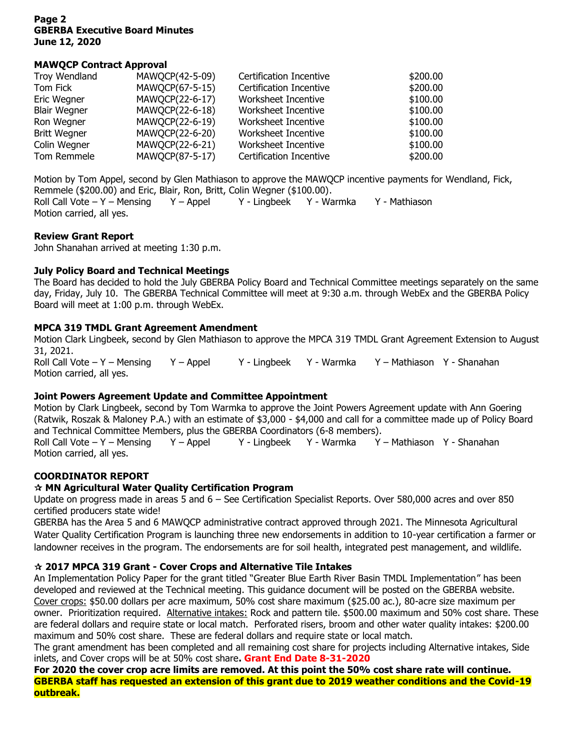#### **Page 2 GBERBA Executive Board Minutes June 12, 2020**

### **MAWQCP Contract Approval**

| Troy Wendland       | MAWQCP(42-5-09) | <b>Certification Incentive</b> | \$200.00 |
|---------------------|-----------------|--------------------------------|----------|
| Tom Fick            | MAWQCP(67-5-15) | Certification Incentive        | \$200.00 |
| Eric Wegner         | MAWQCP(22-6-17) | Worksheet Incentive            | \$100.00 |
| <b>Blair Wegner</b> | MAWQCP(22-6-18) | Worksheet Incentive            | \$100.00 |
| Ron Wegner          | MAWQCP(22-6-19) | Worksheet Incentive            | \$100.00 |
| <b>Britt Wegner</b> | MAWQCP(22-6-20) | Worksheet Incentive            | \$100.00 |
| Colin Wegner        | MAWQCP(22-6-21) | Worksheet Incentive            | \$100.00 |
| Tom Remmele         | MAWQCP(87-5-17) | Certification Incentive        | \$200.00 |

Motion by Tom Appel, second by Glen Mathiason to approve the MAWQCP incentive payments for Wendland, Fick, Remmele (\$200.00) and Eric, Blair, Ron, Britt, Colin Wegner (\$100.00). Roll Call Vote – Y – Mensing  $Y -$  Appel  $Y -$  Lingbeek  $Y -$  Warmka  $Y -$  Mathiason Motion carried, all yes.

#### **Review Grant Report**

John Shanahan arrived at meeting 1:30 p.m.

### **July Policy Board and Technical Meetings**

The Board has decided to hold the July GBERBA Policy Board and Technical Committee meetings separately on the same day, Friday, July 10. The GBERBA Technical Committee will meet at 9:30 a.m. through WebEx and the GBERBA Policy Board will meet at 1:00 p.m. through WebEx.

### **MPCA 319 TMDL Grant Agreement Amendment**

Motion Clark Lingbeek, second by Glen Mathiason to approve the MPCA 319 TMDL Grant Agreement Extension to August 31, 2021.

Roll Call Vote – Y – Mensing Y – Appel Y - Lingbeek Y - Warmka Y – Mathiason Y - Shanahan Motion carried, all yes.

### **Joint Powers Agreement Update and Committee Appointment**

Motion by Clark Lingbeek, second by Tom Warmka to approve the Joint Powers Agreement update with Ann Goering (Ratwik, Roszak & Maloney P.A.) with an estimate of \$3,000 - \$4,000 and call for a committee made up of Policy Board and Technical Committee Members, plus the GBERBA Coordinators (6-8 members). Roll Call Vote – Y – Mensing Y – Appel Y - Lingbeek Y - Warmka Y – Mathiason Y - Shanahan Motion carried, all yes.

# **COORDINATOR REPORT**

### **MN Agricultural Water Quality Certification Program**

Update on progress made in areas 5 and 6 – See Certification Specialist Reports. Over 580,000 acres and over 850 certified producers state wide!

GBERBA has the Area 5 and 6 MAWQCP administrative contract approved through 2021. The Minnesota Agricultural Water Quality Certification Program is launching three new endorsements in addition to 10-year certification a farmer or landowner receives in the program. The endorsements are for soil health, integrated pest management, and wildlife.

### **2017 MPCA 319 Grant - Cover Crops and Alternative Tile Intakes**

An Implementation Policy Paper for the grant titled "Greater Blue Earth River Basin TMDL Implementation" has been developed and reviewed at the Technical meeting. This guidance document will be posted on the GBERBA website. Cover crops: \$50.00 dollars per acre maximum, 50% cost share maximum (\$25.00 ac.), 80-acre size maximum per owner. Prioritization required. Alternative intakes: Rock and pattern tile. \$500.00 maximum and 50% cost share. These are federal dollars and require state or local match. Perforated risers, broom and other water quality intakes: \$200.00 maximum and 50% cost share. These are federal dollars and require state or local match.

The grant amendment has been completed and all remaining cost share for projects including Alternative intakes, Side inlets, and Cover crops will be at 50% cost share**. Grant End Date 8-31-2020**

**For 2020 the cover crop acre limits are removed. At this point the 50% cost share rate will continue. GBERBA staff has requested an extension of this grant due to 2019 weather conditions and the Covid-19 outbreak.**